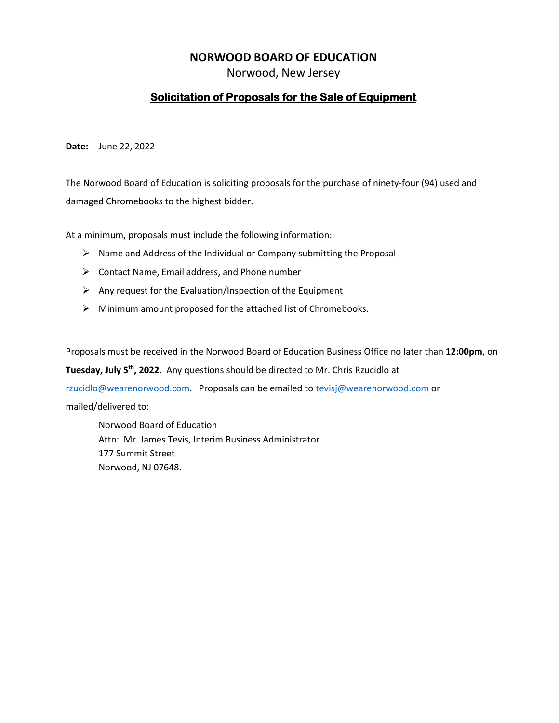#### **NORWOOD BOARD OF EDUCATION**

Norwood, New Jersey

#### **Solicitation of Proposals for the Sale of Equipment**

**Date:** June 22, 2022

The Norwood Board of Education is soliciting proposals for the purchase of ninety-four (94) used and damaged Chromebooks to the highest bidder.

At a minimum, proposals must include the following information:

- ➢ Name and Address of the Individual or Company submitting the Proposal
- $\triangleright$  Contact Name, Email address, and Phone number
- $\triangleright$  Any request for the Evaluation/Inspection of the Equipment
- $\triangleright$  Minimum amount proposed for the attached list of Chromebooks.

Proposals must be received in the Norwood Board of Education Business Office no later than **12:00pm**, on

Tuesday, July 5<sup>th</sup>, 2022. Any questions should be directed to Mr. Chris Rzucidlo at

[rzucidlo@wearenorwood.com.](mailto:rzucidlo@wearenorwood.com) Proposals can be emailed to [tevisj@wearenorwood.com](mailto:tevisj@wearenorwood.com) or

mailed/delivered to:

Norwood Board of Education Attn: Mr. James Tevis, Interim Business Administrator 177 Summit Street Norwood, NJ 07648.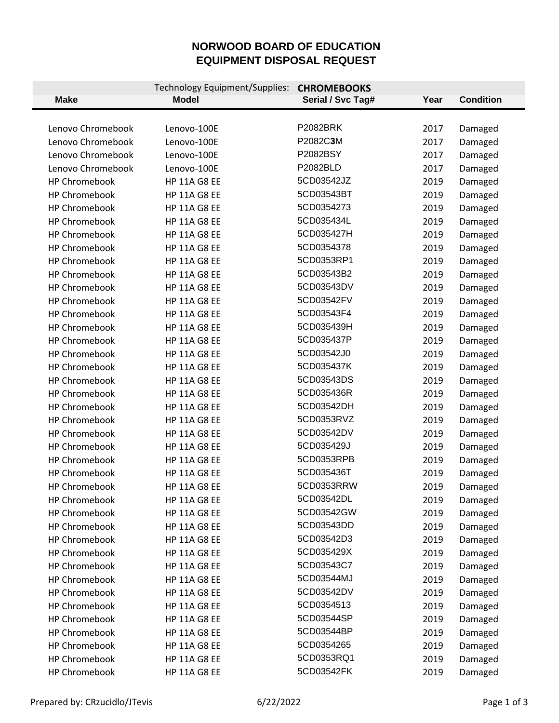# **NORWOOD BOARD OF EDUCATION EQUIPMENT DISPOSAL REQUEST**

| <b>Make</b>          | Technology Equipment/Supplies:<br><b>Model</b> | <b>CHROMEBOOKS</b><br>Serial / Svc Tag# | Year | <b>Condition</b> |
|----------------------|------------------------------------------------|-----------------------------------------|------|------------------|
|                      |                                                |                                         |      |                  |
| Lenovo Chromebook    | Lenovo-100E                                    | <b>P2082BRK</b>                         | 2017 | Damaged          |
| Lenovo Chromebook    | Lenovo-100E                                    | P2082C3M                                | 2017 | Damaged          |
| Lenovo Chromebook    | Lenovo-100E                                    | P2082BSY                                | 2017 | Damaged          |
| Lenovo Chromebook    | Lenovo-100E                                    | P2082BLD                                | 2017 | Damaged          |
| <b>HP Chromebook</b> | <b>HP 11A G8 EE</b>                            | 5CD03542JZ                              | 2019 | Damaged          |
| <b>HP Chromebook</b> | <b>HP 11A G8 EE</b>                            | 5CD03543BT                              | 2019 | Damaged          |
| <b>HP Chromebook</b> | <b>HP 11A G8 EE</b>                            | 5CD0354273                              | 2019 | Damaged          |
| <b>HP Chromebook</b> | <b>HP 11A G8 EE</b>                            | 5CD035434L                              | 2019 | Damaged          |
| <b>HP Chromebook</b> | <b>HP 11A G8 EE</b>                            | 5CD035427H                              | 2019 | Damaged          |
| <b>HP Chromebook</b> | <b>HP 11A G8 EE</b>                            | 5CD0354378                              | 2019 | Damaged          |
| <b>HP Chromebook</b> | <b>HP 11A G8 EE</b>                            | 5CD0353RP1                              | 2019 | Damaged          |
| <b>HP Chromebook</b> | <b>HP 11A G8 EE</b>                            | 5CD03543B2                              | 2019 | Damaged          |
| <b>HP Chromebook</b> | <b>HP 11A G8 EE</b>                            | 5CD03543DV                              | 2019 | Damaged          |
| <b>HP Chromebook</b> | <b>HP 11A G8 EE</b>                            | 5CD03542FV                              | 2019 | Damaged          |
| <b>HP Chromebook</b> | <b>HP 11A G8 EE</b>                            | 5CD03543F4                              | 2019 | Damaged          |
| <b>HP Chromebook</b> | <b>HP 11A G8 EE</b>                            | 5CD035439H                              | 2019 | Damaged          |
| <b>HP Chromebook</b> | <b>HP 11A G8 EE</b>                            | 5CD035437P                              | 2019 | Damaged          |
| HP Chromebook        | <b>HP 11A G8 EE</b>                            | 5CD03542J0                              | 2019 | Damaged          |
| <b>HP Chromebook</b> | <b>HP 11A G8 EE</b>                            | 5CD035437K                              | 2019 | Damaged          |
| <b>HP Chromebook</b> | <b>HP 11A G8 EE</b>                            | 5CD03543DS                              | 2019 | Damaged          |
| <b>HP Chromebook</b> | <b>HP 11A G8 EE</b>                            | 5CD035436R                              | 2019 | Damaged          |
| <b>HP Chromebook</b> | <b>HP 11A G8 EE</b>                            | 5CD03542DH                              | 2019 | Damaged          |
| <b>HP Chromebook</b> | <b>HP 11A G8 EE</b>                            | 5CD0353RVZ                              | 2019 | Damaged          |
| <b>HP Chromebook</b> | <b>HP 11A G8 EE</b>                            | 5CD03542DV                              | 2019 | Damaged          |
| <b>HP Chromebook</b> | <b>HP 11A G8 EE</b>                            | 5CD035429J                              | 2019 | Damaged          |
| <b>HP Chromebook</b> | <b>HP 11A G8 EE</b>                            | 5CD0353RPB                              | 2019 | Damaged          |
| <b>HP Chromebook</b> | <b>HP 11A G8 EE</b>                            | 5CD035436T                              | 2019 | Damaged          |
| HP Chromebook        | <b>HP 11A G8 EE</b>                            | 5CD0353RRW                              | 2019 | Damaged          |
| <b>HP Chromebook</b> | <b>HP 11A G8 EE</b>                            | 5CD03542DL                              | 2019 | Damaged          |
| <b>HP Chromebook</b> | <b>HP 11A G8 EE</b>                            | 5CD03542GW                              | 2019 | Damaged          |
| <b>HP Chromebook</b> | <b>HP 11A G8 EE</b>                            | 5CD03543DD                              | 2019 | Damaged          |
| <b>HP Chromebook</b> | <b>HP 11A G8 EE</b>                            | 5CD03542D3                              | 2019 | Damaged          |
| <b>HP Chromebook</b> | <b>HP 11A G8 EE</b>                            | 5CD035429X                              | 2019 | Damaged          |
| <b>HP Chromebook</b> | <b>HP 11A G8 EE</b>                            | 5CD03543C7                              | 2019 | Damaged          |
| <b>HP Chromebook</b> | <b>HP 11A G8 EE</b>                            | 5CD03544MJ                              | 2019 | Damaged          |
| <b>HP Chromebook</b> | <b>HP 11A G8 EE</b>                            | 5CD03542DV                              | 2019 | Damaged          |
| <b>HP Chromebook</b> | <b>HP 11A G8 EE</b>                            | 5CD0354513                              | 2019 | Damaged          |
| HP Chromebook        | <b>HP 11A G8 EE</b>                            | 5CD03544SP                              | 2019 | Damaged          |
| <b>HP Chromebook</b> | <b>HP 11A G8 EE</b>                            | 5CD03544BP                              | 2019 | Damaged          |
| <b>HP Chromebook</b> | <b>HP 11A G8 EE</b>                            | 5CD0354265                              | 2019 | Damaged          |
| <b>HP Chromebook</b> | <b>HP 11A G8 EE</b>                            | 5CD0353RQ1                              | 2019 | Damaged          |
| HP Chromebook        | <b>HP 11A G8 EE</b>                            | 5CD03542FK                              | 2019 | Damaged          |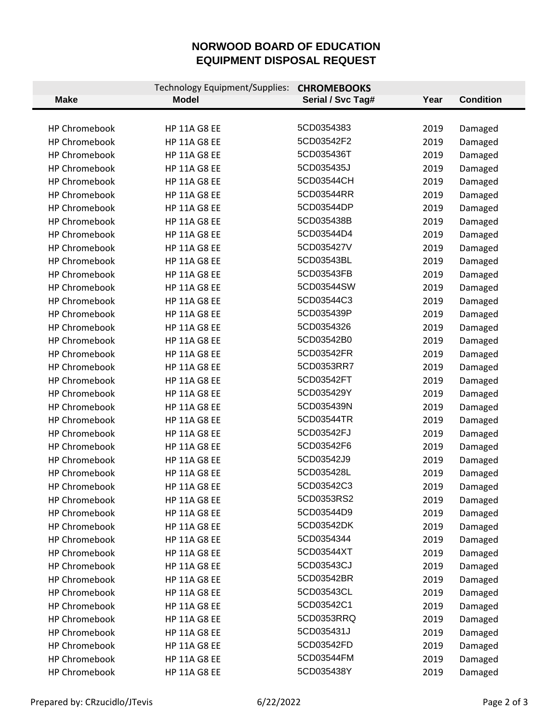# **NORWOOD BOARD OF EDUCATION EQUIPMENT DISPOSAL REQUEST**

|                      | Technology Equipment/Supplies: | <b>CHROMEBOOKS</b> |      |                  |
|----------------------|--------------------------------|--------------------|------|------------------|
| <b>Make</b>          | <b>Model</b>                   | Serial / Svc Tag#  | Year | <b>Condition</b> |
|                      |                                |                    |      |                  |
| <b>HP Chromebook</b> | <b>HP 11A G8 EE</b>            | 5CD0354383         | 2019 | Damaged          |
| <b>HP Chromebook</b> | <b>HP 11A G8 EE</b>            | 5CD03542F2         | 2019 | Damaged          |
| <b>HP Chromebook</b> | <b>HP 11A G8 EE</b>            | 5CD035436T         | 2019 | Damaged          |
| <b>HP Chromebook</b> | <b>HP 11A G8 EE</b>            | 5CD035435J         | 2019 | Damaged          |
| <b>HP Chromebook</b> | <b>HP 11A G8 EE</b>            | 5CD03544CH         | 2019 | Damaged          |
| <b>HP Chromebook</b> | <b>HP 11A G8 EE</b>            | 5CD03544RR         | 2019 | Damaged          |
| <b>HP Chromebook</b> | <b>HP 11A G8 EE</b>            | 5CD03544DP         | 2019 | Damaged          |
| <b>HP Chromebook</b> | <b>HP 11A G8 EE</b>            | 5CD035438B         | 2019 | Damaged          |
| <b>HP Chromebook</b> | <b>HP 11A G8 EE</b>            | 5CD03544D4         | 2019 | Damaged          |
| <b>HP Chromebook</b> | <b>HP 11A G8 EE</b>            | 5CD035427V         | 2019 | Damaged          |
| <b>HP Chromebook</b> | <b>HP 11A G8 EE</b>            | 5CD03543BL         | 2019 | Damaged          |
| <b>HP Chromebook</b> | <b>HP 11A G8 EE</b>            | 5CD03543FB         | 2019 | Damaged          |
| <b>HP Chromebook</b> | <b>HP 11A G8 EE</b>            | 5CD03544SW         | 2019 | Damaged          |
| <b>HP Chromebook</b> | <b>HP 11A G8 EE</b>            | 5CD03544C3         | 2019 | Damaged          |
| <b>HP Chromebook</b> | <b>HP 11A G8 EE</b>            | 5CD035439P         | 2019 | Damaged          |
| <b>HP Chromebook</b> | <b>HP 11A G8 EE</b>            | 5CD0354326         | 2019 | Damaged          |
| <b>HP Chromebook</b> | <b>HP 11A G8 EE</b>            | 5CD03542B0         | 2019 | Damaged          |
| <b>HP Chromebook</b> | <b>HP 11A G8 EE</b>            | 5CD03542FR         | 2019 | Damaged          |
| <b>HP Chromebook</b> | <b>HP 11A G8 EE</b>            | 5CD0353RR7         | 2019 | Damaged          |
| <b>HP Chromebook</b> | <b>HP 11A G8 EE</b>            | 5CD03542FT         | 2019 | Damaged          |
| <b>HP Chromebook</b> | <b>HP 11A G8 EE</b>            | 5CD035429Y         | 2019 | Damaged          |
| <b>HP Chromebook</b> | <b>HP 11A G8 EE</b>            | 5CD035439N         | 2019 | Damaged          |
| <b>HP Chromebook</b> | <b>HP 11A G8 EE</b>            | 5CD03544TR         | 2019 | Damaged          |
| <b>HP Chromebook</b> | <b>HP 11A G8 EE</b>            | 5CD03542FJ         | 2019 | Damaged          |
| <b>HP Chromebook</b> | <b>HP 11A G8 EE</b>            | 5CD03542F6         | 2019 | Damaged          |
| <b>HP Chromebook</b> | <b>HP 11A G8 EE</b>            | 5CD03542J9         | 2019 | Damaged          |
| <b>HP Chromebook</b> | <b>HP 11A G8 EE</b>            | 5CD035428L         | 2019 | Damaged          |
| <b>HP Chromebook</b> | <b>HP 11A G8 EE</b>            | 5CD03542C3         | 2019 | Damaged          |
| <b>HP Chromebook</b> | <b>HP 11A G8 EE</b>            | 5CD0353RS2         | 2019 | Damaged          |
| <b>HP Chromebook</b> | <b>HP 11A G8 EE</b>            | 5CD03544D9         | 2019 | Damaged          |
| <b>HP Chromebook</b> | <b>HP 11A G8 EE</b>            | 5CD03542DK         | 2019 | Damaged          |
| HP Chromebook        | <b>HP 11A G8 EE</b>            | 5CD0354344         | 2019 | Damaged          |
| <b>HP Chromebook</b> | <b>HP 11A G8 EE</b>            | 5CD03544XT         | 2019 | Damaged          |
| <b>HP Chromebook</b> | <b>HP 11A G8 EE</b>            | 5CD03543CJ         | 2019 | Damaged          |
| <b>HP Chromebook</b> | <b>HP 11A G8 EE</b>            | 5CD03542BR         | 2019 | Damaged          |
| <b>HP Chromebook</b> | <b>HP 11A G8 EE</b>            | 5CD03543CL         | 2019 | Damaged          |
| <b>HP Chromebook</b> | <b>HP 11A G8 EE</b>            | 5CD03542C1         | 2019 | Damaged          |
| <b>HP Chromebook</b> | <b>HP 11A G8 EE</b>            | 5CD0353RRQ         | 2019 | Damaged          |
| <b>HP Chromebook</b> | <b>HP 11A G8 EE</b>            | 5CD035431J         | 2019 | Damaged          |
| <b>HP Chromebook</b> | <b>HP 11A G8 EE</b>            | 5CD03542FD         | 2019 | Damaged          |
| <b>HP Chromebook</b> | <b>HP 11A G8 EE</b>            | 5CD03544FM         | 2019 | Damaged          |
| HP Chromebook        | <b>HP 11A G8 EE</b>            | 5CD035438Y         | 2019 | Damaged          |